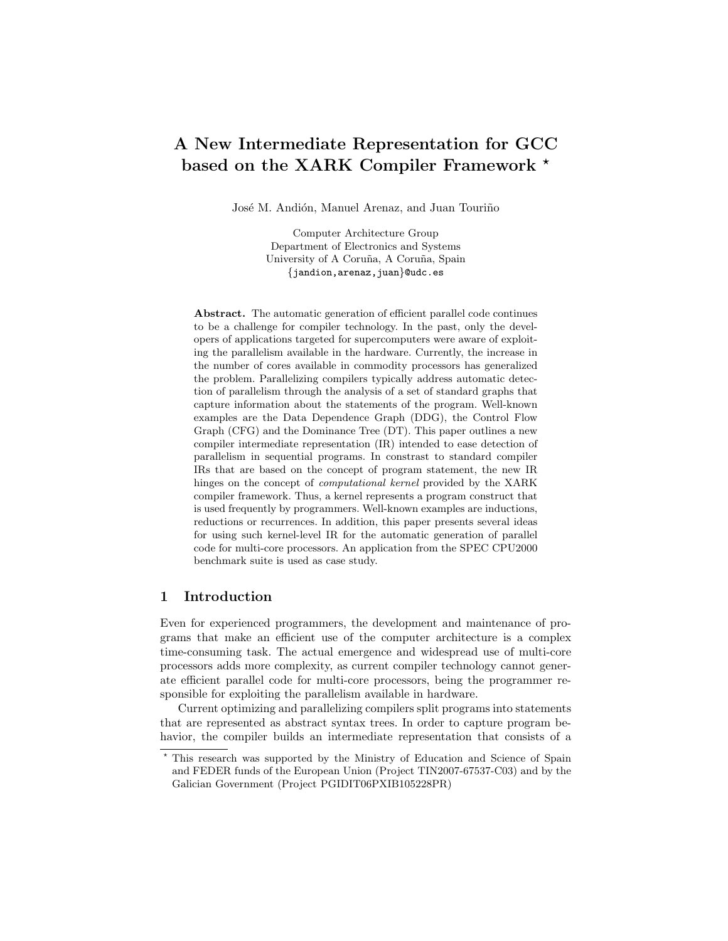# A New Intermediate Representation for GCC based on the XARK Compiler Framework  $*$

José M. Andión, Manuel Arenaz, and Juan Touriño

Computer Architecture Group Department of Electronics and Systems University of A Coruña, A Coruña, Spain {jandion,arenaz,juan}@udc.es

Abstract. The automatic generation of efficient parallel code continues to be a challenge for compiler technology. In the past, only the developers of applications targeted for supercomputers were aware of exploiting the parallelism available in the hardware. Currently, the increase in the number of cores available in commodity processors has generalized the problem. Parallelizing compilers typically address automatic detection of parallelism through the analysis of a set of standard graphs that capture information about the statements of the program. Well-known examples are the Data Dependence Graph (DDG), the Control Flow Graph (CFG) and the Dominance Tree (DT). This paper outlines a new compiler intermediate representation (IR) intended to ease detection of parallelism in sequential programs. In constrast to standard compiler IRs that are based on the concept of program statement, the new IR hinges on the concept of computational kernel provided by the XARK compiler framework. Thus, a kernel represents a program construct that is used frequently by programmers. Well-known examples are inductions, reductions or recurrences. In addition, this paper presents several ideas for using such kernel-level IR for the automatic generation of parallel code for multi-core processors. An application from the SPEC CPU2000 benchmark suite is used as case study.

# 1 Introduction

Even for experienced programmers, the development and maintenance of programs that make an efficient use of the computer architecture is a complex time-consuming task. The actual emergence and widespread use of multi-core processors adds more complexity, as current compiler technology cannot generate efficient parallel code for multi-core processors, being the programmer responsible for exploiting the parallelism available in hardware.

Current optimizing and parallelizing compilers split programs into statements that are represented as abstract syntax trees. In order to capture program behavior, the compiler builds an intermediate representation that consists of a

<sup>?</sup> This research was supported by the Ministry of Education and Science of Spain and FEDER funds of the European Union (Project TIN2007-67537-C03) and by the Galician Government (Project PGIDIT06PXIB105228PR)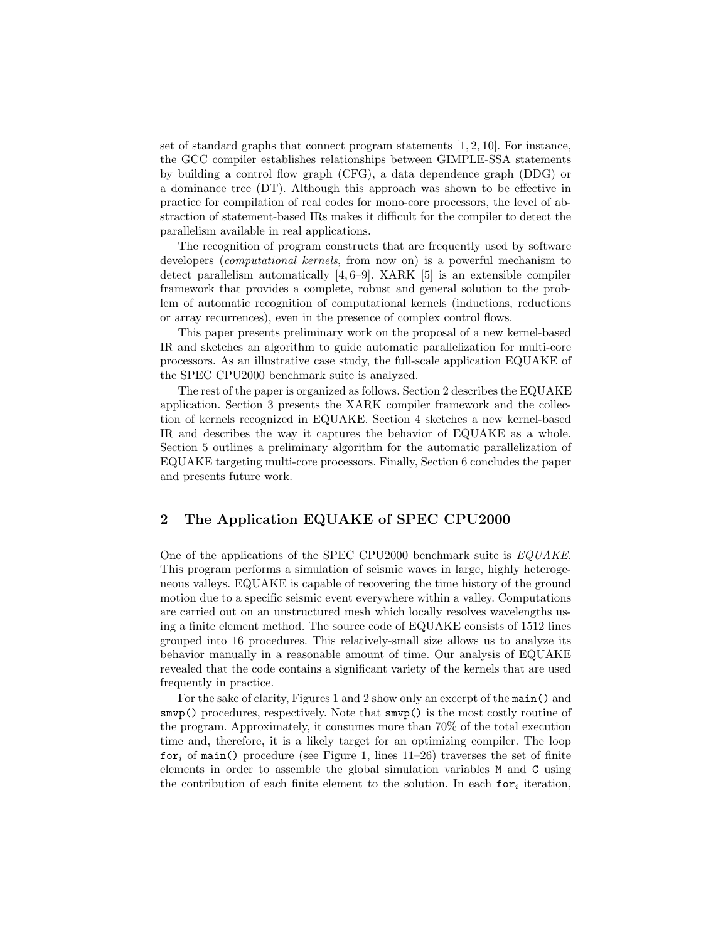set of standard graphs that connect program statements  $[1, 2, 10]$ . For instance, the GCC compiler establishes relationships between GIMPLE-SSA statements by building a control flow graph (CFG), a data dependence graph (DDG) or a dominance tree (DT). Although this approach was shown to be effective in practice for compilation of real codes for mono-core processors, the level of abstraction of statement-based IRs makes it difficult for the compiler to detect the parallelism available in real applications.

The recognition of program constructs that are frequently used by software developers (computational kernels, from now on) is a powerful mechanism to detect parallelism automatically [4, 6–9]. XARK [5] is an extensible compiler framework that provides a complete, robust and general solution to the problem of automatic recognition of computational kernels (inductions, reductions or array recurrences), even in the presence of complex control flows.

This paper presents preliminary work on the proposal of a new kernel-based IR and sketches an algorithm to guide automatic parallelization for multi-core processors. As an illustrative case study, the full-scale application EQUAKE of the SPEC CPU2000 benchmark suite is analyzed.

The rest of the paper is organized as follows. Section 2 describes the EQUAKE application. Section 3 presents the XARK compiler framework and the collection of kernels recognized in EQUAKE. Section 4 sketches a new kernel-based IR and describes the way it captures the behavior of EQUAKE as a whole. Section 5 outlines a preliminary algorithm for the automatic parallelization of EQUAKE targeting multi-core processors. Finally, Section 6 concludes the paper and presents future work.

# 2 The Application EQUAKE of SPEC CPU2000

One of the applications of the SPEC CPU2000 benchmark suite is EQUAKE. This program performs a simulation of seismic waves in large, highly heterogeneous valleys. EQUAKE is capable of recovering the time history of the ground motion due to a specific seismic event everywhere within a valley. Computations are carried out on an unstructured mesh which locally resolves wavelengths using a finite element method. The source code of EQUAKE consists of 1512 lines grouped into 16 procedures. This relatively-small size allows us to analyze its behavior manually in a reasonable amount of time. Our analysis of EQUAKE revealed that the code contains a significant variety of the kernels that are used frequently in practice.

For the sake of clarity, Figures 1 and 2 show only an excerpt of the main() and smvp() procedures, respectively. Note that smvp() is the most costly routine of the program. Approximately, it consumes more than 70% of the total execution time and, therefore, it is a likely target for an optimizing compiler. The loop for<sub>i</sub> of main() procedure (see Figure 1, lines  $11-26$ ) traverses the set of finite elements in order to assemble the global simulation variables M and C using the contribution of each finite element to the solution. In each  $for_i$  iteration,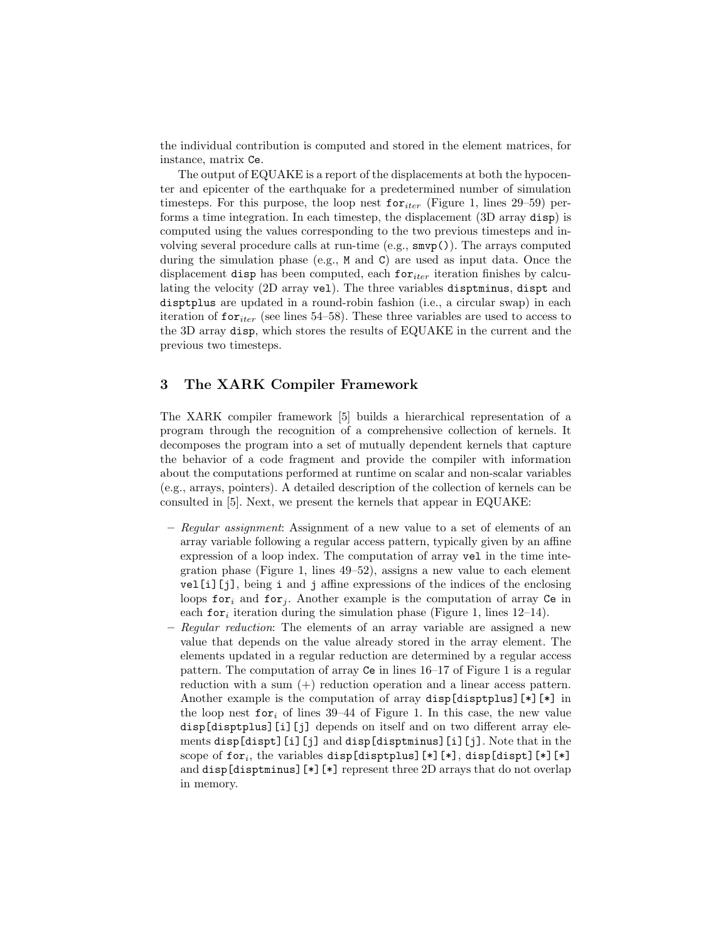the individual contribution is computed and stored in the element matrices, for instance, matrix Ce.

The output of EQUAKE is a report of the displacements at both the hypocenter and epicenter of the earthquake for a predetermined number of simulation timesteps. For this purpose, the loop nest  $\mathbf{for}_{iter}$  (Figure 1, lines 29–59) performs a time integration. In each timestep, the displacement (3D array disp) is computed using the values corresponding to the two previous timesteps and involving several procedure calls at run-time (e.g., smvp()). The arrays computed during the simulation phase (e.g., M and C) are used as input data. Once the displacement disp has been computed, each for  $_{iter}$  iteration finishes by calculating the velocity (2D array vel). The three variables disptminus, dispt and disptplus are updated in a round-robin fashion (i.e., a circular swap) in each iteration of  $for_{iter}$  (see lines 54–58). These three variables are used to access to the 3D array disp, which stores the results of EQUAKE in the current and the previous two timesteps.

## 3 The XARK Compiler Framework

The XARK compiler framework [5] builds a hierarchical representation of a program through the recognition of a comprehensive collection of kernels. It decomposes the program into a set of mutually dependent kernels that capture the behavior of a code fragment and provide the compiler with information about the computations performed at runtime on scalar and non-scalar variables (e.g., arrays, pointers). A detailed description of the collection of kernels can be consulted in [5]. Next, we present the kernels that appear in EQUAKE:

- Regular assignment: Assignment of a new value to a set of elements of an array variable following a regular access pattern, typically given by an affine expression of a loop index. The computation of array vel in the time integration phase (Figure 1, lines 49–52), assigns a new value to each element vel[i][j], being i and j affine expressions of the indices of the enclosing loops for<sub>i</sub> and for<sub>j</sub>. Another example is the computation of array Ce in each for<sub>i</sub> iteration during the simulation phase (Figure 1, lines 12–14).
- Regular reduction: The elements of an array variable are assigned a new value that depends on the value already stored in the array element. The elements updated in a regular reduction are determined by a regular access pattern. The computation of array Ce in lines 16–17 of Figure 1 is a regular reduction with a sum (+) reduction operation and a linear access pattern. Another example is the computation of array  $\text{disp}[\text{disptplus}][*]$  in the loop nest for<sub>i</sub> of lines 39–44 of Figure 1. In this case, the new value disp[disptplus][i][j] depends on itself and on two different array elements disp[dispt][i][j] and disp[disptminus][i][j]. Note that in the scope of for<sub>i</sub>, the variables disp[disptplus][\*][\*], disp[dispt][\*][\*][\*] and disp[disptminus][\*][\*] represent three 2D arrays that do not overlap in memory.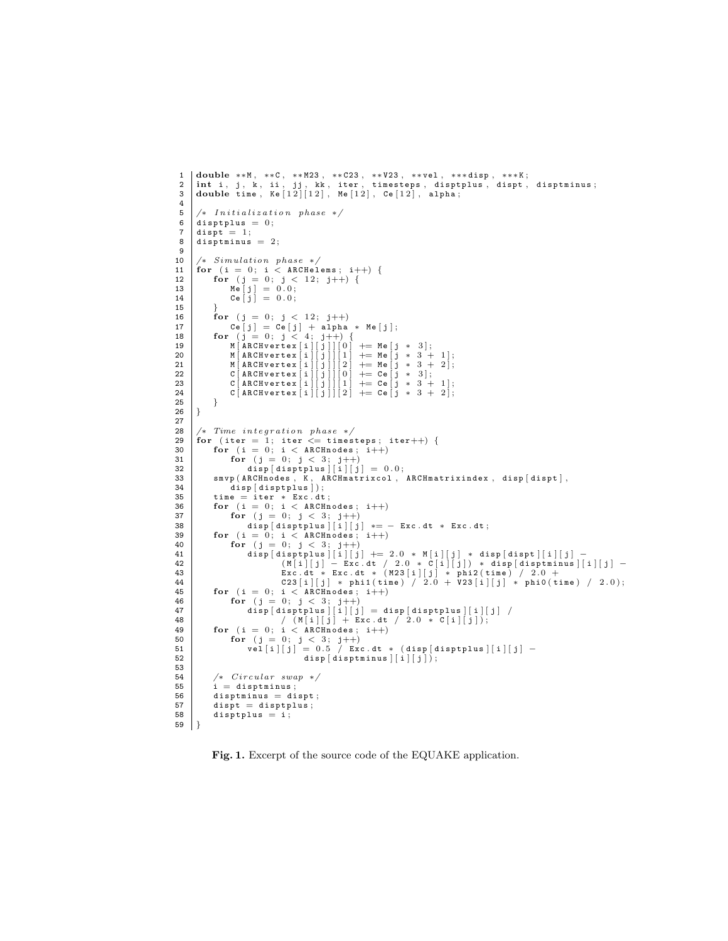```
1 double **M, **C, **M23, **C23, **V23, **vel, ***disp, ***K;<br>2 int i. i. k. ii. ii. kk. iter. timesteps. disptplus. dispt.
  2 | int i, j, k, ii, jj, kk, iter, timesteps, disptplus, dispt, disptminus;<br>3 | double time, Ke[12][12], Me[12], Ce[12], alpha;
 \frac{4}{5}5 \left| \begin{array}{ccc} * & Initalization phase & * \end{array} \right|<br>6 disptplus = 0;
  6 disptplus = 0;<br>7 dispt = 1;
 8 disptminus = 2;
\frac{9}{10}10 \left| \begin{array}{cc} * & Sumulation \ 11 & \text{for} \end{array} \right. for (i = 0; i < ARCHel11 | for (i = 0; i < ARCHelems; i++) {<br>
12 | for (j = 0; j < 12; j++) {
13 Me [j] = 0.0;<br>
14 Ce [j] = 0.0;15 }
16 for (j = 0; j < 12; j++)<br>17 ce j = 0; j < 12; j++)17 \begin{cases} 17 \\ \text{for} \quad (j = 0; j < 4; j++) \end{cases} + alpha * Me [j];
19<br>
M [ARCHvertex [i] [j] ] [0] + = Me [j * 3];<br>
20<br>
M [ARCHvertex [i] [j] ] [1] + = Me [j * 3 + 1];<br>
21<br>
22<br>
C [ARCHvertex [i] [j] ] [0] + = Me [j * 3 + 1];<br>
23<br>
C [ARCHvertex [i] [j] ] [1] + = Ce [j * 3 + 1];<br>
24<br>
24<br>
24
\begin{array}{c|c} 25 & & \rightarrow \\ 26 & & \rightarrow \end{array}26 }
\frac{27}{28}28 |/* Time integration phase */<br>29 | for (iter = 1; iter <= timesteps; iter++) {
30 for (i = 0; i < ARCHnodes; i++)<br>31 for (j = 0; j < 3; j++)<br>32 disp[disptplus][i][j] = 0.0;
33 | smvp (ARCHnodes, K, ARCHmatrixcol, ARCHmatrixindex, disp [dispt],<br>34 | disp [disptplus]);
35 time = iter * Exc.dt;<br>36 for (i = 0; i < ARCHnodes; i++)
37 for (j = 0; j < 3; j++)<br>38 disp[disptplus][i][j] *= - Exc.dt * Exc.dt;
39 for (i = 0; i < ARCHnodes; i++)40 for (j = 0; j < 3; j++)<br>41 disp disp plus | [i] [j]
41 d i s p [ d i s p t p l u s ] [ i ] [ j ] += 2 . 0 ∗ M [ i ] [ j ] ∗ d i s p [ d i s p t ] [ i ] [ j ] −
42 ( M [ i ] [ j ] − E x c . dt / 2 . 0 ∗ C [ i ] [ j ] ) ∗ d i s p [ d i s p t m i n u s ] [ i ] [ j ] −
43 E x c . dt ∗ E x c . dt ∗ ( M 2 3 [ i ] [ j ] ∗ p h i 2 ( t i m e ) / 2 . 0 +
44 C 2 3 [ i ] [ j ] ∗ p h i 1 ( t i m e ) / 2 . 0 + V 2 3 [ i ] [ j ] ∗ p h i 0 ( t i m e ) / 2 . 0 ) ;
45 for (i = 0; i < ARCHnodes; i++)<br>46 for (j = 0; j < 3; j++)46 for (j = 0; j < 3; j++)<br>
47 disp[disptplus][i][j] = disp[disptplus][i][j] /<br>
48 / (M[i][j] + Exc.dt / 2.0 * C[i][j]);
49 for (i = 0; i < ARCH nodes; i++)<br>50 for (i = 0; i < 3; i++)50 for (j = 0; j < 3; j++)<br>
51 vel[i][j] = 0.5 / Exc.dt * (disp[disptplus][i][j] -
52 \left[\begin{array}{c} \end{array}\right] disp \left[\begin{array}{c} d \text{isptminus} \\ \end{array}\right] \left[\begin{array}{c} i \\ j \end{array}\right]53
54 /* Circular swap */<br>55 i = disptminus:
\begin{array}{c|c} 55 & \text{if } i = \text{disptminus}; \\ 56 & \text{disptminus} = \text{di} \end{array}56 disptminus = dispt;<br>57 dispt = disptplus;
57 dispt = disptplus;<br>58 disptplus = i;
                disptplus = i;59 }
```
Fig. 1. Excerpt of the source code of the EQUAKE application.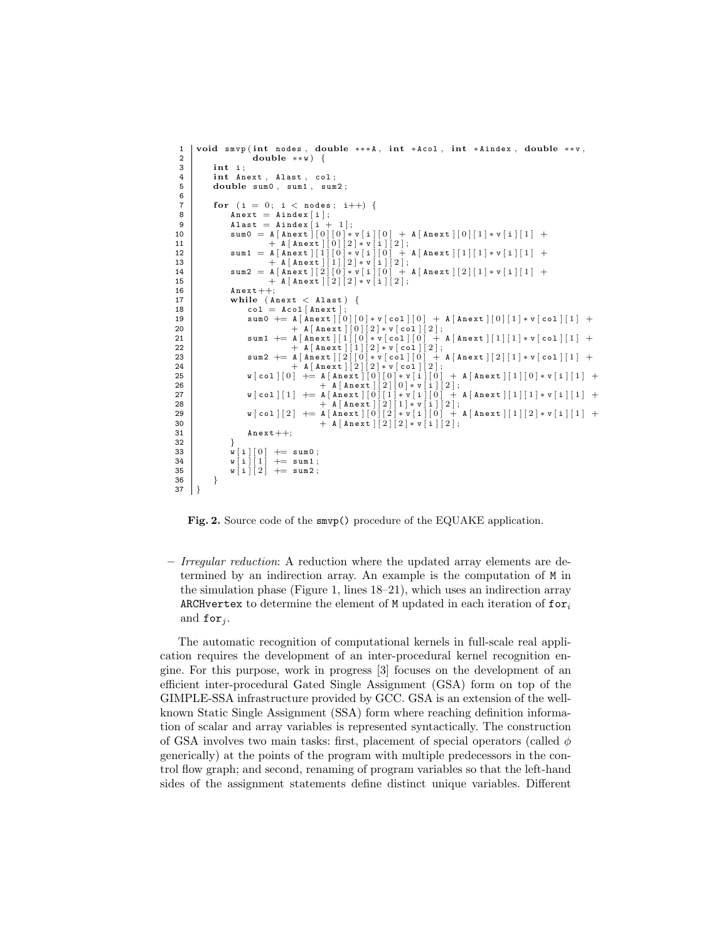```
1 void s m v p (int nodes, double ***A, int *Acol, int *Aindex, double **v, double **v, \frac{1}{2}\begin{array}{c|c} 2 & \text{double} & \ast\ast\mathbf{w} \\ 3 & \text{int } & \ddots \end{array}int i:
 4 int Anext, Alast, col;<br>5 double sum0, sum1, sum
              double sum0, sum1, sum2;
 6
 7 for (i = 0; i < nodes; i++) {<br>8 Apext = Aindex [i]
                      A \nvert x = A \nvert A \nvert x [i];
9 \blacksquare A last = Aindex [i + 1];<br>
10 \blacksquare sum 0 = A [Anext][0][0] * v[i][0] + A [Anext][0][1] * v[i][1] +
11 + A [A \text{next}][0][2] * v[i][2];<br>12 \text{sum } 1 = A [A \text{next}][1][0] * v[i][0] +12 \begin{array}{c|c|c|c|c|c} \text{sum1} & = & A [\texttt{Anext}][1][0]*v[i][0] & + & A [\texttt{Anext}][1][1]*v[i][1] & + & A [\texttt{Anext}][1][2]*v[i][2]; \\ \text{sum2} & = & A [\texttt{Anext}][2][0]*v[i][0] & + & A [\texttt{Anext}][2][1]*v[i][1] & + \end{array}15 + A [\text{A next}] [2] [2] * v [1] [2];<br>16 A \text{next} + +:
16 \lambdanext++;<br>17 while (A)while ( A n e x t \lt A l a s t )18 col = Acol[Anext]<br>
19 sum0 + \frac{A[Anext]}{s}\begin{bmatrix} 1 & 1 & 1 \\ 0 & 1 & 1 \end{bmatrix} \begin{bmatrix} 1 & 1 & 1 \\ 0 & 1 & 1 \end{bmatrix} \begin{bmatrix} 0 & 1 & 1 \\ 0 & 1 & 1 \end{bmatrix} \begin{bmatrix} 0 & 1 & 1 \\ 0 & 1 & 1 \end{bmatrix} \begin{bmatrix} 1 & 1 & 1 \\ 1 & 1 & 1 \end{bmatrix} \begin{bmatrix} 1 & 1 & 1 \\ 1 & 1 & 1 \end{bmatrix}20 + A [Anext ][0][2]* v[col ][2];<br>21 sum1 += A [Anext ][1][0]* v[col ][0] + A [Anext ][1][1]* v[col ][1] +
22 + A [\text{Anext}][1][2]*v[\text{col}][2];<br>
23 \text{sum 2} + A [\text{Anext}][2][0]*v[\text{col}][0] + A [\text{Anext}][2][1]*v[\text{col}][1] +23 \begin{array}{c|c} \text{sum 2} & + \text{A [Anext]}[2][0]*v[\text{col}][0] & + \text{A [Anext]}[2][1]*v[\text{col}][1] & + \text{A [Anext]}[2][2]*v[\text{col}][2]; \end{array}25 w [col][0] + = A [Anext][0][0] * v[i][0] + A [Anext][1][0] * v[i][1] + 26
26 + A [ A n e x t ] [ 2 ] [ 0 ] ∗ v [ i ] [ 2 ] ;
27 w [ c o l ] [ 1 ] += A [ A n e x t ] [ 0 ] [ 1 ] ∗ v [ i ] [ 0 ] + A [ A n e x t ] [ 1 ] [ 1 ] ∗ v [ i ] [ 1 ] +
28 + A [ A n e x t ] [ 2 ] [ 1 ] ∗ v [ i ] [ 2 ] ;
29 w [ c o l ] [ 2 ] += A [ A n e x t ] [ 0 ] [ 2 ] ∗ v [ i ] [ 0 ] + A [ A n e x t ] [ 1 ] [ 2 ] ∗ v [ i ] [ 1 ] +
30 + A[Anext][2][2]*v[i][2];<br>31 Anext++;
                      A n e x t + +;
\begin{array}{c|c} 32 & & \rightarrow \\ 33 & & \sqrt{1} & 0 \end{array}33 w[i][0] \neq sum0;<br>34 w[i][1] \neq sum1;34 w[i][1] \neq sum1;<br>35 w[i][2] \neq sum2;\begin{array}{c} \n\texttt{w} \mid \texttt{i} \mid \texttt{i} \mid \\ \n\texttt{w} \mid \texttt{i} \mid \texttt{i} \mid \texttt{2} \n\end{array}36 }
37 }
```
Fig. 2. Source code of the smvp() procedure of the EQUAKE application.

– Irregular reduction: A reduction where the updated array elements are determined by an indirection array. An example is the computation of M in the simulation phase (Figure 1, lines 18–21), which uses an indirection array ARCHvertex to determine the element of M updated in each iteration of  $for_i$ and for  $_i$ .

The automatic recognition of computational kernels in full-scale real application requires the development of an inter-procedural kernel recognition engine. For this purpose, work in progress [3] focuses on the development of an efficient inter-procedural Gated Single Assignment (GSA) form on top of the GIMPLE-SSA infrastructure provided by GCC. GSA is an extension of the wellknown Static Single Assignment (SSA) form where reaching definition information of scalar and array variables is represented syntactically. The construction of GSA involves two main tasks: first, placement of special operators (called  $\phi$ generically) at the points of the program with multiple predecessors in the control flow graph; and second, renaming of program variables so that the left-hand sides of the assignment statements define distinct unique variables. Different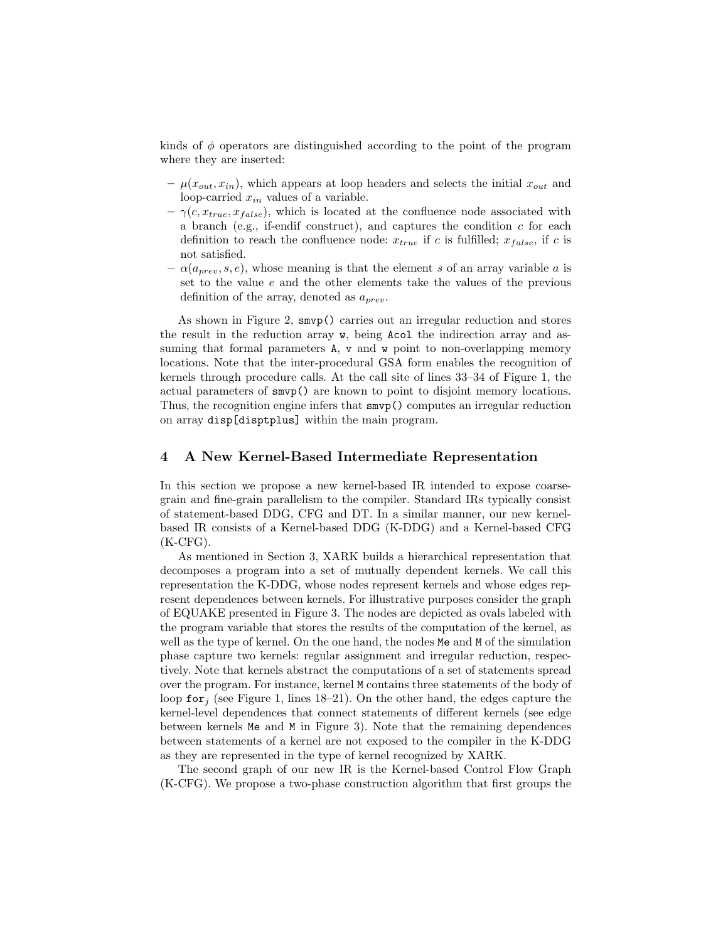kinds of  $\phi$  operators are distinguished according to the point of the program where they are inserted:

- $\mu(x_{out}, x_{in})$ , which appears at loop headers and selects the initial  $x_{out}$  and loop-carried  $x_{in}$  values of a variable.
- $-\gamma(c, x_{true}, x_{false})$ , which is located at the confluence node associated with a branch (e.g., if-endif construct), and captures the condition  $c$  for each definition to reach the confluence node:  $x_{true}$  if c is fulfilled;  $x_{false}$ , if c is not satisfied.
- $-\alpha(a_{prev}, s, e)$ , whose meaning is that the element s of an array variable a is set to the value  $e$  and the other elements take the values of the previous definition of the array, denoted as  $a_{prev}$ .

As shown in Figure 2, smvp() carries out an irregular reduction and stores the result in the reduction array w, being Acol the indirection array and assuming that formal parameters A, v and w point to non-overlapping memory locations. Note that the inter-procedural GSA form enables the recognition of kernels through procedure calls. At the call site of lines 33–34 of Figure 1, the actual parameters of smvp() are known to point to disjoint memory locations. Thus, the recognition engine infers that smvp() computes an irregular reduction on array disp[disptplus] within the main program.

#### 4 A New Kernel-Based Intermediate Representation

In this section we propose a new kernel-based IR intended to expose coarsegrain and fine-grain parallelism to the compiler. Standard IRs typically consist of statement-based DDG, CFG and DT. In a similar manner, our new kernelbased IR consists of a Kernel-based DDG (K-DDG) and a Kernel-based CFG  $(K-CFG)$ .

As mentioned in Section 3, XARK builds a hierarchical representation that decomposes a program into a set of mutually dependent kernels. We call this representation the K-DDG, whose nodes represent kernels and whose edges represent dependences between kernels. For illustrative purposes consider the graph of EQUAKE presented in Figure 3. The nodes are depicted as ovals labeled with the program variable that stores the results of the computation of the kernel, as well as the type of kernel. On the one hand, the nodes Me and M of the simulation phase capture two kernels: regular assignment and irregular reduction, respectively. Note that kernels abstract the computations of a set of statements spread over the program. For instance, kernel M contains three statements of the body of loop for  $i$  (see Figure 1, lines 18–21). On the other hand, the edges capture the kernel-level dependences that connect statements of different kernels (see edge between kernels Me and M in Figure 3). Note that the remaining dependences between statements of a kernel are not exposed to the compiler in the K-DDG as they are represented in the type of kernel recognized by XARK.

The second graph of our new IR is the Kernel-based Control Flow Graph (K-CFG). We propose a two-phase construction algorithm that first groups the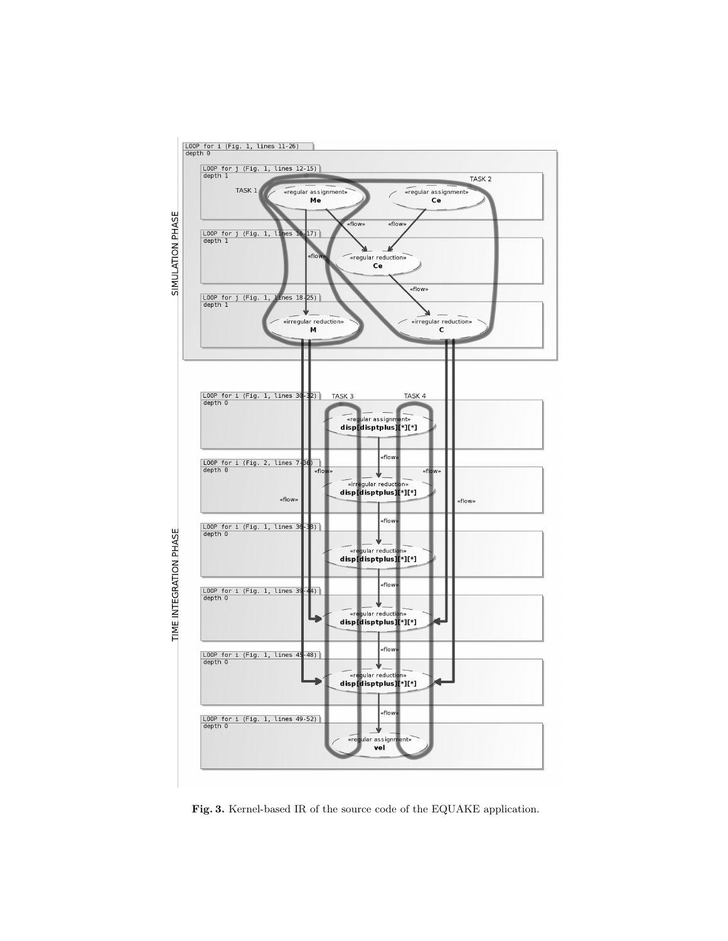

Fig. 3. Kernel-based IR of the source code of the EQUAKE application.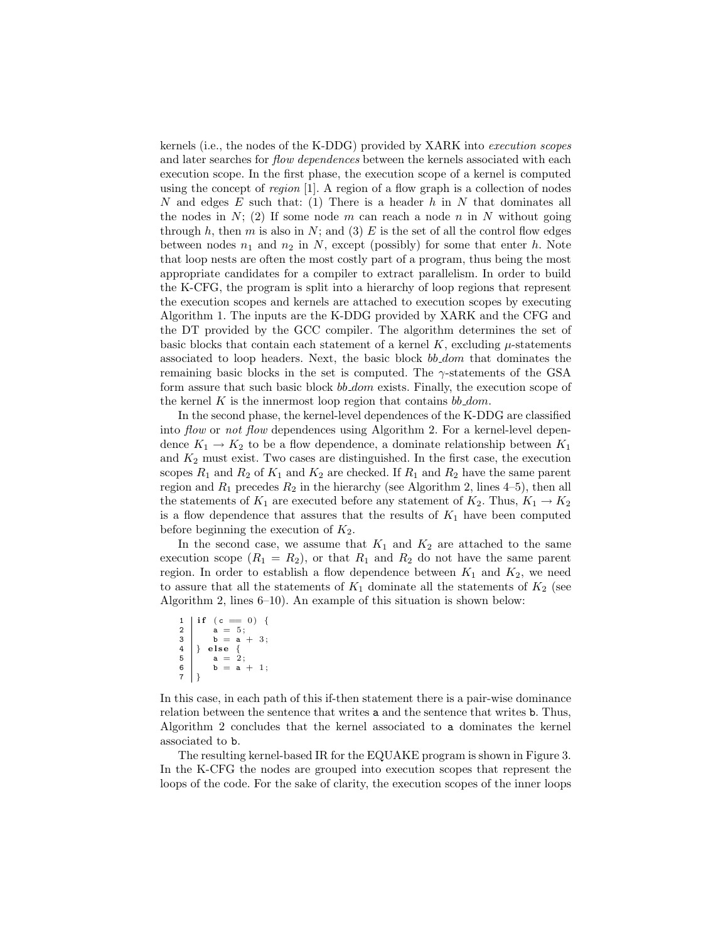kernels (i.e., the nodes of the K-DDG) provided by XARK into execution scopes and later searches for *flow dependences* between the kernels associated with each execution scope. In the first phase, the execution scope of a kernel is computed using the concept of region [1]. A region of a flow graph is a collection of nodes N and edges  $E$  such that: (1) There is a header  $h$  in N that dominates all the nodes in  $N$ ; (2) If some node m can reach a node n in N without going through h, then m is also in N; and (3)  $E$  is the set of all the control flow edges between nodes  $n_1$  and  $n_2$  in N, except (possibly) for some that enter h. Note that loop nests are often the most costly part of a program, thus being the most appropriate candidates for a compiler to extract parallelism. In order to build the K-CFG, the program is split into a hierarchy of loop regions that represent the execution scopes and kernels are attached to execution scopes by executing Algorithm 1. The inputs are the K-DDG provided by XARK and the CFG and the DT provided by the GCC compiler. The algorithm determines the set of basic blocks that contain each statement of a kernel  $K$ , excluding  $\mu$ -statements associated to loop headers. Next, the basic block bb\_dom that dominates the remaining basic blocks in the set is computed. The  $\gamma$ -statements of the GSA form assure that such basic block bb\_dom exists. Finally, the execution scope of the kernel K is the innermost loop region that contains  $bb\_dom$ .

In the second phase, the kernel-level dependences of the K-DDG are classified into flow or not flow dependences using Algorithm 2. For a kernel-level dependence  $K_1 \rightarrow K_2$  to be a flow dependence, a dominate relationship between  $K_1$ and  $K_2$  must exist. Two cases are distinguished. In the first case, the execution scopes  $R_1$  and  $R_2$  of  $K_1$  and  $K_2$  are checked. If  $R_1$  and  $R_2$  have the same parent region and  $R_1$  precedes  $R_2$  in the hierarchy (see Algorithm 2, lines 4–5), then all the statements of  $K_1$  are executed before any statement of  $K_2$ . Thus,  $K_1 \rightarrow K_2$ is a flow dependence that assures that the results of  $K_1$  have been computed before beginning the execution of  $K_2$ .

In the second case, we assume that  $K_1$  and  $K_2$  are attached to the same execution scope  $(R_1 = R_2)$ , or that  $R_1$  and  $R_2$  do not have the same parent region. In order to establish a flow dependence between  $K_1$  and  $K_2$ , we need to assure that all the statements of  $K_1$  dominate all the statements of  $K_2$  (see Algorithm 2, lines 6–10). An example of this situation is shown below:

$$
\begin{array}{c|c} 1 & \text{if } (c == 0) \\ 2 & a = 5; \\ 3 & b = a + 3; \\ 4 & \text{else } \{ \\ 4 & \text{else } \{ \\ 5 & a = 2; \\ 6 & b = a + 1; \end{array}
$$

In this case, in each path of this if-then statement there is a pair-wise dominance relation between the sentence that writes a and the sentence that writes b. Thus, Algorithm 2 concludes that the kernel associated to a dominates the kernel associated to b.

The resulting kernel-based IR for the EQUAKE program is shown in Figure 3. In the K-CFG the nodes are grouped into execution scopes that represent the loops of the code. For the sake of clarity, the execution scopes of the inner loops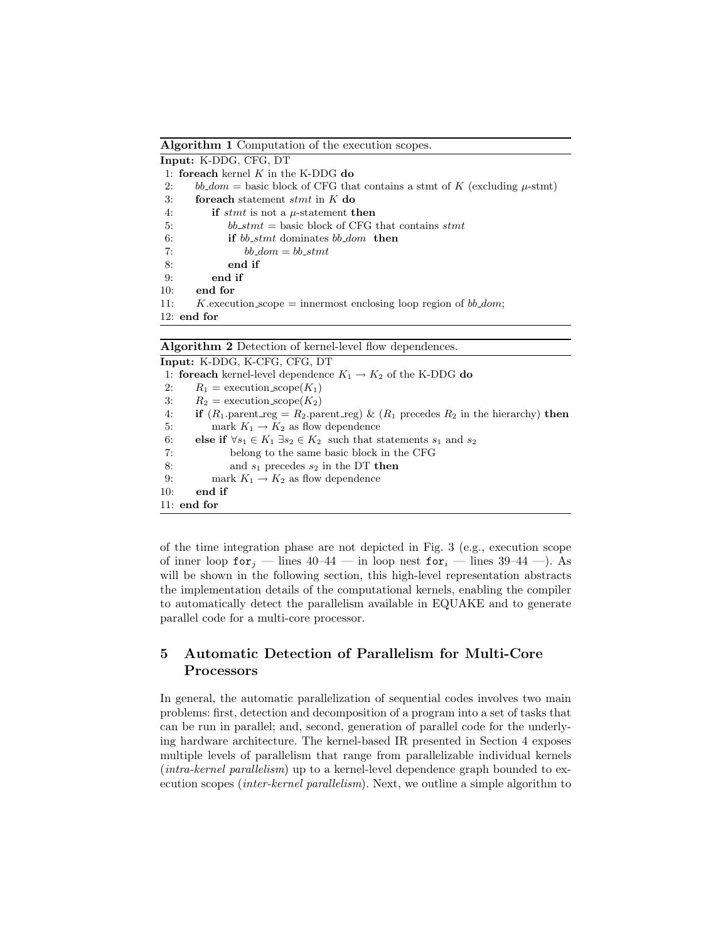Algorithm 1 Computation of the execution scopes. Input: K-DDG, CFG, DT

| <b>111put:</b> 11 DDU, 01 U, DT |                                                                                  |
|---------------------------------|----------------------------------------------------------------------------------|
|                                 | 1: for each kernel $K$ in the K-DDG do                                           |
| 2:                              | $bb\_dom$ = basic block of CFG that contains a stmt of K (excluding $\mu$ -stmt) |
| 3:                              | <b>foreach</b> statement <i>stmt</i> in $K$ do                                   |
| 4:                              | if stmt is not a $\mu$ -statement then                                           |
| 5:                              | $bb\_stmt = basic block of CFG that contains$ stmt                               |
| 6:                              | <b>if</b> bb stmt dominates bb dom then                                          |
| 7:                              | $bb\_dom = bb\_stmt$                                                             |
| -8:                             | end if                                                                           |
| 9:                              | end if                                                                           |
| 10:                             | end for                                                                          |
| 11:                             | K execution scope = innermost enclosing loop region of $bb\_dom$ ;               |
|                                 | $12:$ end for                                                                    |

Algorithm 2 Detection of kernel-level flow dependences.

Input: K-DDG, K-CFG, CFG, DT 1: **foreach** kernel-level dependence  $K_1 \rightarrow K_2$  of the K-DDG do 2:  $R_1 = \text{execution\_scope}(K_1)$ 3:  $R_2$  = execution\_scope( $K_2$ ) 4: if  $(R_1$  parent reg =  $R_2$  parent reg) &  $(R_1$  precedes  $R_2$  in the hierarchy) then 5: mark  $K_1 \rightarrow K_2$  as flow dependence 6: else if  $\forall s_1 \in K_1 \; \exists s_2 \in K_2$  such that statements  $s_1$  and  $s_2$ 7: belong to the same basic block in the CFG 8: and  $s_1$  precedes  $s_2$  in the DT then 9: mark  $K_1 \rightarrow K_2$  as flow dependence 10: end if 11: end for

of the time integration phase are not depicted in Fig. 3 (e.g., execution scope of inner loop for  $i$  — lines 40–44 — in loop nest for  $i$  — lines 39–44 —). As will be shown in the following section, this high-level representation abstracts the implementation details of the computational kernels, enabling the compiler to automatically detect the parallelism available in EQUAKE and to generate parallel code for a multi-core processor.

# 5 Automatic Detection of Parallelism for Multi-Core Processors

In general, the automatic parallelization of sequential codes involves two main problems: first, detection and decomposition of a program into a set of tasks that can be run in parallel; and, second, generation of parallel code for the underlying hardware architecture. The kernel-based IR presented in Section 4 exposes multiple levels of parallelism that range from parallelizable individual kernels (intra-kernel parallelism) up to a kernel-level dependence graph bounded to execution scopes (inter-kernel parallelism). Next, we outline a simple algorithm to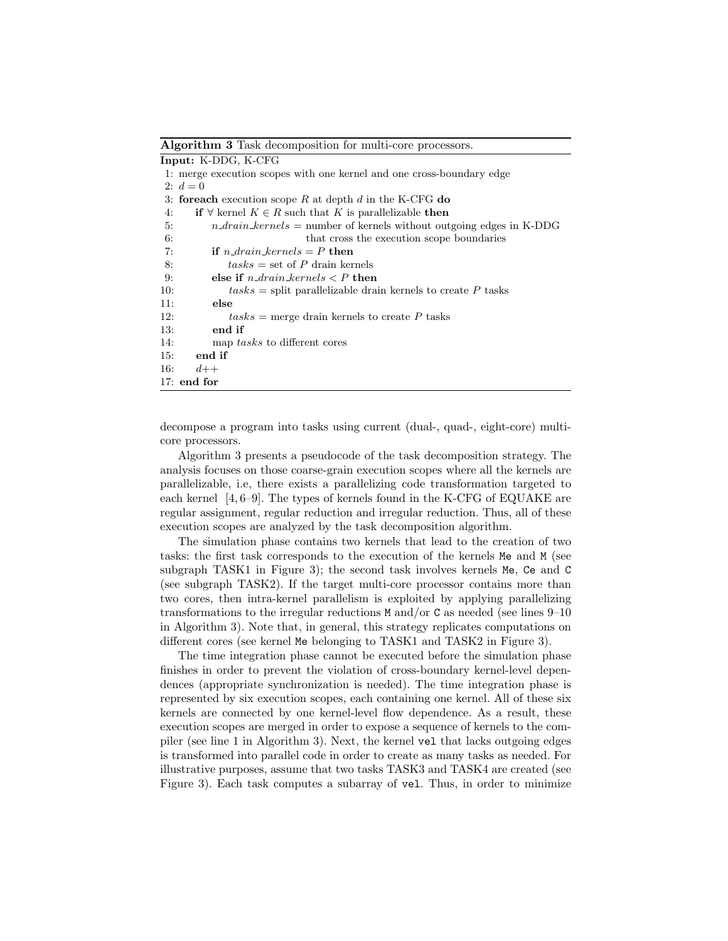Algorithm 3 Task decomposition for multi-core processors.

decompose a program into tasks using current (dual-, quad-, eight-core) multicore processors.

Algorithm 3 presents a pseudocode of the task decomposition strategy. The analysis focuses on those coarse-grain execution scopes where all the kernels are parallelizable, i.e, there exists a parallelizing code transformation targeted to each kernel [4, 6–9]. The types of kernels found in the K-CFG of EQUAKE are regular assignment, regular reduction and irregular reduction. Thus, all of these execution scopes are analyzed by the task decomposition algorithm.

The simulation phase contains two kernels that lead to the creation of two tasks: the first task corresponds to the execution of the kernels Me and M (see subgraph TASK1 in Figure 3); the second task involves kernels Me, Ce and C (see subgraph TASK2). If the target multi-core processor contains more than two cores, then intra-kernel parallelism is exploited by applying parallelizing transformations to the irregular reductions M and/or C as needed (see lines 9–10 in Algorithm 3). Note that, in general, this strategy replicates computations on different cores (see kernel Me belonging to TASK1 and TASK2 in Figure 3).

The time integration phase cannot be executed before the simulation phase finishes in order to prevent the violation of cross-boundary kernel-level dependences (appropriate synchronization is needed). The time integration phase is represented by six execution scopes, each containing one kernel. All of these six kernels are connected by one kernel-level flow dependence. As a result, these execution scopes are merged in order to expose a sequence of kernels to the compiler (see line 1 in Algorithm 3). Next, the kernel vel that lacks outgoing edges is transformed into parallel code in order to create as many tasks as needed. For illustrative purposes, assume that two tasks TASK3 and TASK4 are created (see Figure 3). Each task computes a subarray of vel. Thus, in order to minimize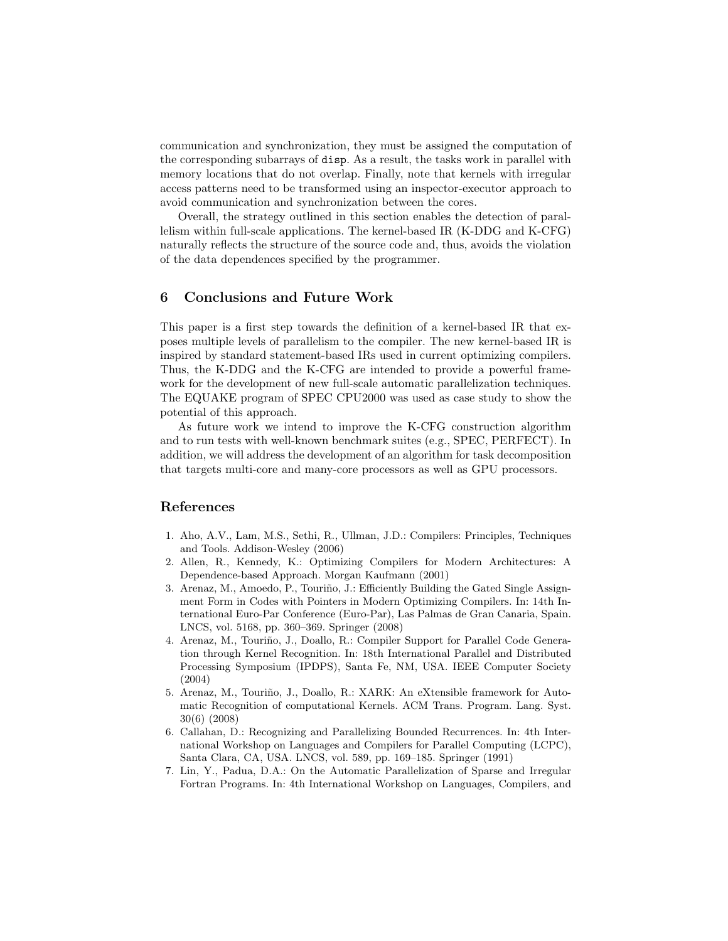communication and synchronization, they must be assigned the computation of the corresponding subarrays of disp. As a result, the tasks work in parallel with memory locations that do not overlap. Finally, note that kernels with irregular access patterns need to be transformed using an inspector-executor approach to avoid communication and synchronization between the cores.

Overall, the strategy outlined in this section enables the detection of parallelism within full-scale applications. The kernel-based IR (K-DDG and K-CFG) naturally reflects the structure of the source code and, thus, avoids the violation of the data dependences specified by the programmer.

#### 6 Conclusions and Future Work

This paper is a first step towards the definition of a kernel-based IR that exposes multiple levels of parallelism to the compiler. The new kernel-based IR is inspired by standard statement-based IRs used in current optimizing compilers. Thus, the K-DDG and the K-CFG are intended to provide a powerful framework for the development of new full-scale automatic parallelization techniques. The EQUAKE program of SPEC CPU2000 was used as case study to show the potential of this approach.

As future work we intend to improve the K-CFG construction algorithm and to run tests with well-known benchmark suites (e.g., SPEC, PERFECT). In addition, we will address the development of an algorithm for task decomposition that targets multi-core and many-core processors as well as GPU processors.

# References

- 1. Aho, A.V., Lam, M.S., Sethi, R., Ullman, J.D.: Compilers: Principles, Techniques and Tools. Addison-Wesley (2006)
- 2. Allen, R., Kennedy, K.: Optimizing Compilers for Modern Architectures: A Dependence-based Approach. Morgan Kaufmann (2001)
- 3. Arenaz, M., Amoedo, P., Touriño, J.: Efficiently Building the Gated Single Assignment Form in Codes with Pointers in Modern Optimizing Compilers. In: 14th International Euro-Par Conference (Euro-Par), Las Palmas de Gran Canaria, Spain. LNCS, vol. 5168, pp. 360–369. Springer (2008)
- 4. Arenaz, M., Touriño, J., Doallo, R.: Compiler Support for Parallel Code Generation through Kernel Recognition. In: 18th International Parallel and Distributed Processing Symposium (IPDPS), Santa Fe, NM, USA. IEEE Computer Society (2004)
- 5. Arenaz, M., Touriño, J., Doallo, R.: XARK: An eXtensible framework for Automatic Recognition of computational Kernels. ACM Trans. Program. Lang. Syst. 30(6) (2008)
- 6. Callahan, D.: Recognizing and Parallelizing Bounded Recurrences. In: 4th International Workshop on Languages and Compilers for Parallel Computing (LCPC), Santa Clara, CA, USA. LNCS, vol. 589, pp. 169–185. Springer (1991)
- 7. Lin, Y., Padua, D.A.: On the Automatic Parallelization of Sparse and Irregular Fortran Programs. In: 4th International Workshop on Languages, Compilers, and